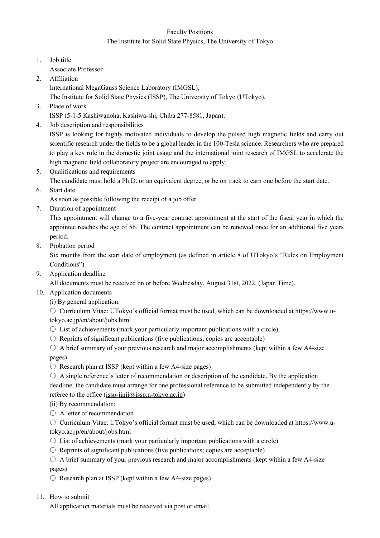## Faculty Positions The Institute for Solid State Physics, The University of Tokyo

- 1. Job title Associate Professor
- 2. Affiliation
	- International MegaGauss Science Laboratory (IMGSL),

The Institute for Solid State Physics (ISSP), The University of Tokyo (UTokyo).

- 3. Place of work
	- ISSP (5-1-5 Kashiwanoha, Kashiwa-shi, Chiba 277-8581, Japan).
- 4. Job description and responsibilities

ISSP is looking for highly motivated individuals to develop the pulsed high magnetic fields and carry out scientific research under the fields to be a global leader in the 100-Tesla science. Researchers who are prepared to play a key role in the domestic joint usage and the international joint research of IMGSL to accelerate the high magnetic field collaboratory project are encouraged to apply.

5. Qualifications and requirements

The candidate must hold a Ph.D. or an equivalent degree, or be on track to earn one before the start date.

6. Start date

As soon as possible following the receipt of a job offer.

7. Duration of appointment

This appointment will change to a five-year contract appointment at the start of the fiscal year in which the appointee reaches the age of 56. The contract appointment can be renewed once for an additional five years period.

8. Probation period

Six months from the start date of employment (as defined in article 8 of UTokyo's "Rules on Employment Conditions").

9. Application deadline

All documents must be received on or before Wednesday, August 31st, 2022. (Japan Time).

- 10. Application documents
	- (i) By general application:

○ Curriculum Vitae: UTokyo's official format must be used, which can be downloaded at https://www.utokyo.ac.jp/en/about/jobs.html

- $\circ$  List of achievements (mark your particularly important publications with a circle)
- $\circ$  Reprints of significant publications (five publications; copies are acceptable)
- $\circ$  A brief summary of your previous research and major accomplishments (kept within a few A4-size pages)
- $\circ$  Research plan at ISSP (kept within a few A4-size pages)
- $\circ$  A single reference's letter of recommendation or description of the candidate. By the application deadline, the candidate must arrange for one professional reference to be submitted independently by the referee to the office  $(issp-ijnji@issp.u-tokyo.ac.jp)$
- (ii) By recommendation:
- A letter of recommendation

○ Curriculum Vitae: UTokyo's official format must be used, which can be downloaded at https://www.utokyo.ac.jp/en/about/jobs.html

- $\circ$  List of achievements (mark your particularly important publications with a circle)
- $\circ$  Reprints of significant publications (five publications; copies are acceptable)
- $\circ$  A brief summary of your previous research and major accomplishments (kept within a few A4-size pages)
- $\circ$  Research plan at ISSP (kept within a few A4-size pages)
- 11. How to submit

All application materials must be received via post or email.